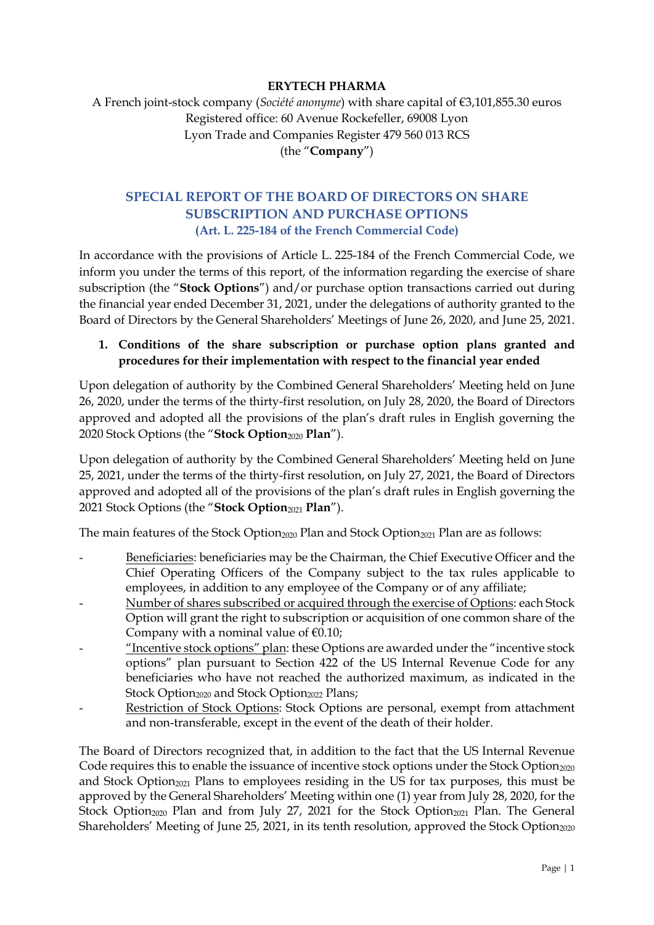#### **ERYTECH PHARMA**

# A French joint-stock company (*Société anonyme*) with share capital of €3,101,855.30 euros Registered office: 60 Avenue Rockefeller, 69008 Lyon Lyon Trade and Companies Register 479 560 013 RCS (the "**Company**")

## **SPECIAL REPORT OF THE BOARD OF DIRECTORS ON SHARE SUBSCRIPTION AND PURCHASE OPTIONS (Art. L. 225-184 of the French Commercial Code)**

In accordance with the provisions of Article L. 225-184 of the French Commercial Code, we inform you under the terms of this report, of the information regarding the exercise of share subscription (the "**Stock Options**") and/or purchase option transactions carried out during the financial year ended December 31, 2021, under the delegations of authority granted to the Board of Directors by the General Shareholders' Meetings of June 26, 2020, and June 25, 2021.

## **1. Conditions of the share subscription or purchase option plans granted and procedures for their implementation with respect to the financial year ended**

Upon delegation of authority by the Combined General Shareholders' Meeting held on June 26, 2020, under the terms of the thirty-first resolution, on July 28, 2020, the Board of Directors approved and adopted all the provisions of the plan's draft rules in English governing the 2020 Stock Options (the "**Stock Option**<sup>2020</sup> **Plan**").

Upon delegation of authority by the Combined General Shareholders' Meeting held on June 25, 2021, under the terms of the thirty-first resolution, on July 27, 2021, the Board of Directors approved and adopted all of the provisions of the plan's draft rules in English governing the 2021 Stock Options (the "**Stock Option**<sup>2021</sup> **Plan**").

The main features of the Stock Option<sub>2020</sub> Plan and Stock Option<sub>2021</sub> Plan are as follows:

- Beneficiaries: beneficiaries may be the Chairman, the Chief Executive Officer and the Chief Operating Officers of the Company subject to the tax rules applicable to employees, in addition to any employee of the Company or of any affiliate;
- Number of shares subscribed or acquired through the exercise of Options: each Stock Option will grant the right to subscription or acquisition of one common share of the Company with a nominal value of  $€0.10;$
- "Incentive stock options" plan: these Options are awarded under the "incentive stock options" plan pursuant to Section 422 of the US Internal Revenue Code for any beneficiaries who have not reached the authorized maximum, as indicated in the Stock Option<sub>2020</sub> and Stock Option<sub>2022</sub> Plans;
- Restriction of Stock Options: Stock Options are personal, exempt from attachment and non-transferable, except in the event of the death of their holder.

The Board of Directors recognized that, in addition to the fact that the US Internal Revenue Code requires this to enable the issuance of incentive stock options under the Stock Option $_{2020}$ and Stock Option2021 Plans to employees residing in the US for tax purposes, this must be approved by the General Shareholders' Meeting within one (1) year from July 28, 2020, for the Stock Option<sub>2020</sub> Plan and from July 27, 2021 for the Stock Option<sub>2021</sub> Plan. The General Shareholders' Meeting of June 25, 2021, in its tenth resolution, approved the Stock Option<sub>2020</sub>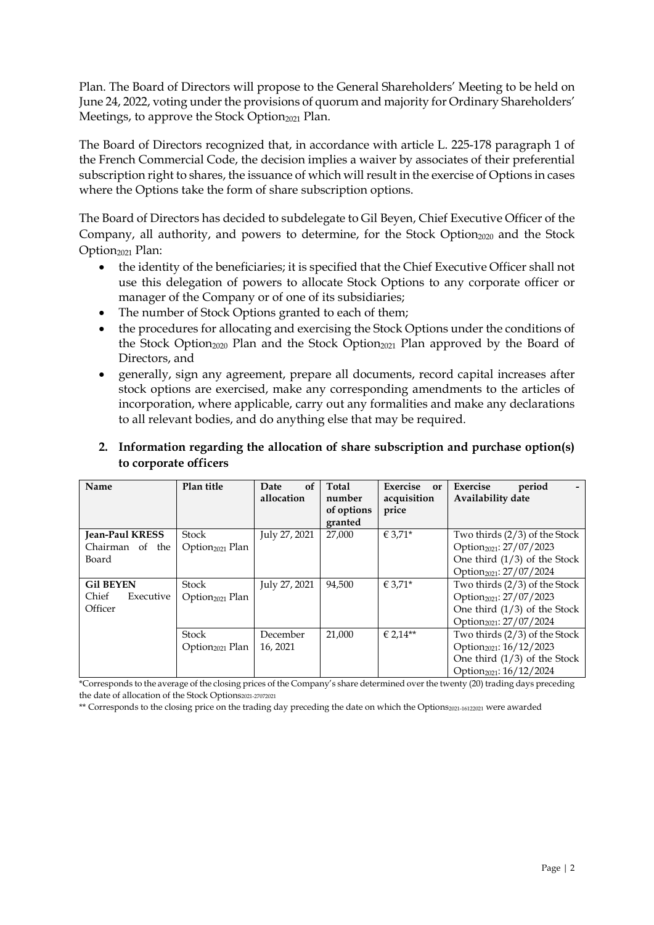Plan. The Board of Directors will propose to the General Shareholders' Meeting to be held on June 24, 2022, voting under the provisions of quorum and majority for Ordinary Shareholders' Meetings, to approve the Stock Option $_{2021}$  Plan.

The Board of Directors recognized that, in accordance with article L. 225-178 paragraph 1 of the French Commercial Code, the decision implies a waiver by associates of their preferential subscription right to shares, the issuance of which will result in the exercise of Options in cases where the Options take the form of share subscription options.

The Board of Directors has decided to subdelegate to Gil Beyen, Chief Executive Officer of the Company, all authority, and powers to determine, for the Stock Option<sub>2020</sub> and the Stock Option<sub>2021</sub> Plan:

- the identity of the beneficiaries; it is specified that the Chief Executive Officer shall not use this delegation of powers to allocate Stock Options to any corporate officer or manager of the Company or of one of its subsidiaries;
- The number of Stock Options granted to each of them;
- the procedures for allocating and exercising the Stock Options under the conditions of the Stock Option<sub>2020</sub> Plan and the Stock Option<sub>2021</sub> Plan approved by the Board of Directors, and
- generally, sign any agreement, prepare all documents, record capital increases after stock options are exercised, make any corresponding amendments to the articles of incorporation, where applicable, carry out any formalities and make any declarations to all relevant bodies, and do anything else that may be required.

## **2. Information regarding the allocation of share subscription and purchase option(s) to corporate officers**

| Name                                               | Plan title                                  | <sub>of</sub><br>Date<br>allocation | Total<br>number<br>of options<br>granted | Exercise<br>or<br>acquisition<br>price | Exercise<br>period<br>Availability date                                                                                                         |
|----------------------------------------------------|---------------------------------------------|-------------------------------------|------------------------------------------|----------------------------------------|-------------------------------------------------------------------------------------------------------------------------------------------------|
| <b>Jean-Paul KRESS</b><br>Chairman of the<br>Board | Stock<br>Option <sub>2021</sub> Plan        | July 27, 2021                       | 27,000                                   | € 3.71*                                | Two thirds $(2/3)$ of the Stock<br>Option <sub>2021</sub> : 27/07/2023<br>One third $(1/3)$ of the Stock<br>Option <sub>2021</sub> : 27/07/2024 |
| <b>Gil BEYEN</b><br>Chief<br>Executive<br>Officer  | Stock<br>Option <sub>2021</sub> Plan        | July 27, 2021                       | 94,500                                   | € 3,71*                                | Two thirds $(2/3)$ of the Stock<br>Option <sub>2021</sub> : 27/07/2023<br>One third $(1/3)$ of the Stock<br>Option <sub>2021</sub> : 27/07/2024 |
|                                                    | <b>Stock</b><br>Option <sub>2021</sub> Plan | December<br>16, 2021                | 21,000                                   | € 2,14**                               | Two thirds $(2/3)$ of the Stock<br>Option <sub>2021</sub> : 16/12/2023<br>One third $(1/3)$ of the Stock<br>Option <sub>2021</sub> : 16/12/2024 |

\*Corresponds to the average of the closing prices of the Company's share determined over the twenty (20) trading days preceding the date of allocation of the Stock Options2021-27072021

\*\* Corresponds to the closing price on the trading day preceding the date on which the Options2021-16122021 were awarded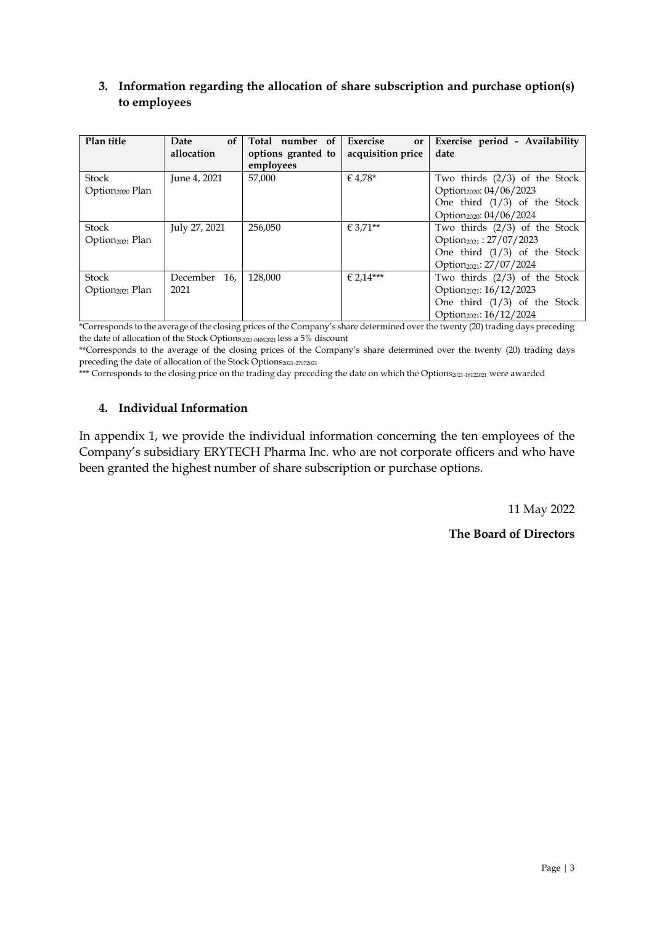#### **3. Information regarding the allocation of share subscription and purchase option(s) to employees**

| Plan title                  | Date<br>of      | Total number of    | Exercise<br>or    | Exercise period - Availability        |
|-----------------------------|-----------------|--------------------|-------------------|---------------------------------------|
|                             | allocation      | options granted to | acquisition price | date                                  |
|                             |                 | employees          |                   |                                       |
| Stock                       | June 4, 2021    | 57,000             | € 4.78*           | Two thirds $(2/3)$ of the Stock       |
| Option <sub>2020</sub> Plan |                 |                    |                   | Option <sub>2020</sub> : 04/06/2023   |
|                             |                 |                    |                   | One third $(1/3)$ of the Stock        |
|                             |                 |                    |                   | Option <sub>2020</sub> : 04/06/2024   |
| Stock                       | July 27, 2021   | 256.050            | $€ 3.71***$       | Two thirds $(2/3)$ of the Stock       |
| Option <sub>2021</sub> Plan |                 |                    |                   | Option <sub>2021</sub> : $27/07/2023$ |
|                             |                 |                    |                   | One third $(1/3)$ of the Stock        |
|                             |                 |                    |                   | Option <sub>2021</sub> : 27/07/2024   |
| Stock                       | 16,<br>December | 128,000            | $€ 2.14***$       | Two thirds $(2/3)$ of the Stock       |
| Option <sub>2021</sub> Plan | 2021            |                    |                   | Option <sub>2021</sub> : 16/12/2023   |
|                             |                 |                    |                   | One third $(1/3)$ of the Stock        |
|                             |                 |                    |                   | Option <sub>2021</sub> : 16/12/2024   |

\*Corresponds to the average of the closing prices of the Company's share determined over the twenty (20) trading days preceding the date of allocation of the Stock Options<sub>2020-04062021</sub> less a 5% discount

\*\*Corresponds to the average of the closing prices of the Company's share determined over the twenty (20) trading days preceding the date of allocation of the Stock Options<sub>2021-27072021</sub>

\*\*\* Corresponds to the closing price on the trading day preceding the date on which the Options2021-16122021 were awarded

#### **4. Individual Information**

In appendix 1, we provide the individual information concerning the ten employees of the Company's subsidiary ERYTECH Pharma Inc. who are not corporate officers and who have been granted the highest number of share subscription or purchase options.

11 May 2022

**The Board of Directors**